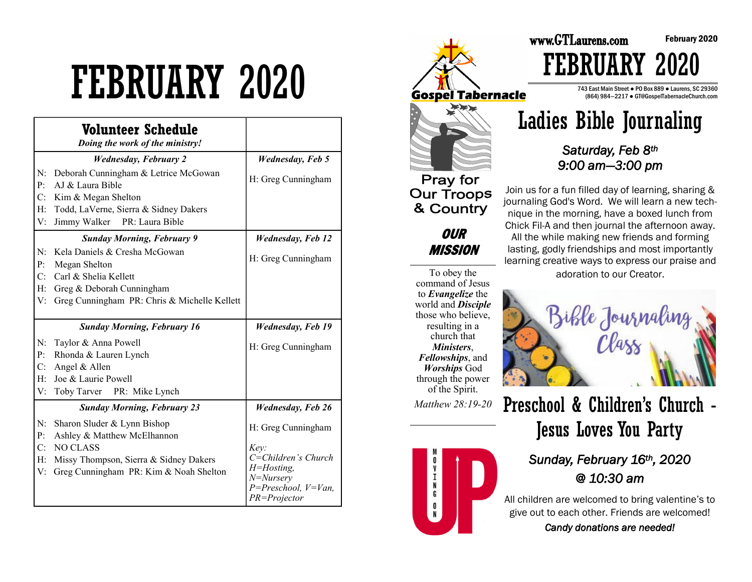# FEBRUARY 2020

|                                    | Volunteer Schedule<br>Doing the work of the ministry!                                                                                                             |                                                                 |
|------------------------------------|-------------------------------------------------------------------------------------------------------------------------------------------------------------------|-----------------------------------------------------------------|
|                                    | <b>Wednesday, February 2</b>                                                                                                                                      | <b>Wednesday</b> , Feb 5                                        |
| N:<br>P:<br>C:                     | Deborah Cunningham & Letrice McGowan<br>AJ & Laura Bible                                                                                                          | H: Greg Cunningham                                              |
| H:<br>V:                           | Kim & Megan Shelton<br>Todd, LaVerne, Sierra & Sidney Dakers<br>Jimmy Walker PR: Laura Bible                                                                      |                                                                 |
|                                    | <b>Sunday Morning, February 9</b>                                                                                                                                 | <b>Wednesday, Feb 12</b>                                        |
| N:<br>P:                           | Kela Daniels & Cresha McGowan<br>Megan Shelton                                                                                                                    | H: Greg Cunningham                                              |
| C:<br>H:<br>V:                     | Carl & Shelia Kellett<br>Greg & Deborah Cunningham<br>Greg Cunningham PR: Chris & Michelle Kellett                                                                |                                                                 |
|                                    | <b>Sunday Morning, February 16</b>                                                                                                                                | <b>Wednesday, Feb 19</b>                                        |
| N:<br>P:<br>C:<br>H:<br>V:         | Taylor & Anna Powell<br>Rhonda & Lauren Lynch<br>Angel & Allen<br>Joe & Laurie Powell<br>Toby Tarver<br>PR: Mike Lynch                                            | H: Greg Cunningham                                              |
| <b>Sunday Morning, February 23</b> |                                                                                                                                                                   | <b>Wednesday, Feb 26</b>                                        |
| N:<br>P:<br>C:<br>H:<br>V:         | Sharon Sluder & Lynn Bishop<br>Ashley & Matthew McElhannon<br><b>NO CLASS</b><br>Missy Thompson, Sierra & Sidney Dakers<br>Greg Cunningham PR: Kim & Noah Shelton | H: Greg Cunningham<br>Key:<br>C=Children's Church<br>H=Hosting, |



## **Our Troops** & Country **OUR**

**MISSION** 

To obey the command of Jesus to *Evangelize* the world and *Disciple*  those who believe, resulting in a church that *Ministers*, *Fellowships*, and *Worships* God through the power of the Spirit.

*Matthew 28:19-20* 



743 East Main Street ● PO Box 889 ● Laurens, SC 29360 (864) 984—2217 ● GT@GospelTabernacleChurch.com

February 2020



www.GTLaurens.com

FEBRUARY 2020

*Saturday, Feb 8th 9:00 am—3:00 pm* 

Join us for a fun filled day of learning, sharing & journaling God's Word. We will learn a new technique in the morning, have a boxed lunch from Chick Fil-A and then journal the afternoon away. All the while making new friends and forming lasting, godly friendships and most importantly learning creative ways to express our praise and adoration to our Creator.



Preschool & Children's Church - Jesus Loves You Party

### *Sunday, February 16th, 2020 @ 10:30 am*

All children are welcomed to bring valentine's to give out to each other. Friends are welcomed! *Candy donations are needed!*